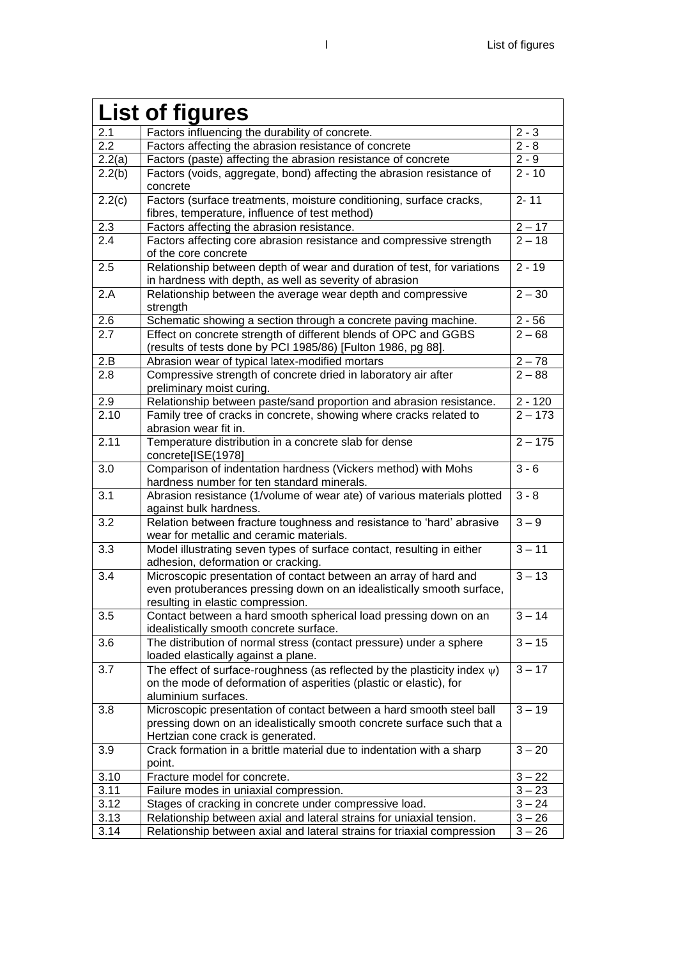| <b>List of figures</b> |                                                                                                                                                                                     |           |
|------------------------|-------------------------------------------------------------------------------------------------------------------------------------------------------------------------------------|-----------|
| 2.1                    | Factors influencing the durability of concrete.                                                                                                                                     | $2 - 3$   |
| 2.2                    | Factors affecting the abrasion resistance of concrete                                                                                                                               | $2 - 8$   |
| 2.2(a)                 | Factors (paste) affecting the abrasion resistance of concrete                                                                                                                       | $2 - 9$   |
| 2.2(b)                 | Factors (voids, aggregate, bond) affecting the abrasion resistance of<br>concrete                                                                                                   | $2 - 10$  |
| 2.2(c)                 | Factors (surface treatments, moisture conditioning, surface cracks,<br>fibres, temperature, influence of test method)                                                               | $2 - 11$  |
| $2.3\,$                | Factors affecting the abrasion resistance.                                                                                                                                          | $2 - 17$  |
| 2.4                    | Factors affecting core abrasion resistance and compressive strength<br>of the core concrete                                                                                         | $2 - 18$  |
| 2.5                    | Relationship between depth of wear and duration of test, for variations<br>in hardness with depth, as well as severity of abrasion                                                  | $2 - 19$  |
| 2.A                    | Relationship between the average wear depth and compressive<br>strength                                                                                                             | $2 - 30$  |
| 2.6                    | Schematic showing a section through a concrete paving machine.                                                                                                                      | $2 - 56$  |
| 2.7                    | Effect on concrete strength of different blends of OPC and GGBS<br>(results of tests done by PCI 1985/86) [Fulton 1986, pg 88].                                                     | $2 - 68$  |
| 2.B                    | Abrasion wear of typical latex-modified mortars                                                                                                                                     | $2 - 78$  |
| 2.8                    | Compressive strength of concrete dried in laboratory air after<br>preliminary moist curing.                                                                                         | $2 - 88$  |
| 2.9                    | Relationship between paste/sand proportion and abrasion resistance.                                                                                                                 | $2 - 120$ |
| 2.10                   | Family tree of cracks in concrete, showing where cracks related to<br>abrasion wear fit in.                                                                                         | $2 - 173$ |
| 2.11                   | Temperature distribution in a concrete slab for dense<br>concrete[ISE(1978]                                                                                                         | $2 - 175$ |
| 3.0                    | Comparison of indentation hardness (Vickers method) with Mohs<br>hardness number for ten standard minerals.                                                                         | $3 - 6$   |
| 3.1                    | Abrasion resistance (1/volume of wear ate) of various materials plotted<br>against bulk hardness.                                                                                   | $3 - 8$   |
| 3.2                    | Relation between fracture toughness and resistance to 'hard' abrasive<br>wear for metallic and ceramic materials.                                                                   | $3 - 9$   |
| 3.3                    | Model illustrating seven types of surface contact, resulting in either<br>adhesion, deformation or cracking.                                                                        | $3 - 11$  |
| 3.4                    | Microscopic presentation of contact between an array of hard and                                                                                                                    | $3 - 13$  |
|                        | even protuberances pressing down on an idealistically smooth surface,<br>resulting in elastic compression.                                                                          |           |
| 3.5                    | Contact between a hard smooth spherical load pressing down on an<br>idealistically smooth concrete surface.                                                                         | $3 - 14$  |
| 3.6                    | The distribution of normal stress (contact pressure) under a sphere<br>loaded elastically against a plane.                                                                          | $3 - 15$  |
| 3.7                    | The effect of surface-roughness (as reflected by the plasticity index $\psi$ )<br>on the mode of deformation of asperities (plastic or elastic), for<br>aluminium surfaces.         | $3 - 17$  |
| 3.8                    | Microscopic presentation of contact between a hard smooth steel ball<br>pressing down on an idealistically smooth concrete surface such that a<br>Hertzian cone crack is generated. | $3 - 19$  |
| 3.9                    | Crack formation in a brittle material due to indentation with a sharp<br>point.                                                                                                     | $3 - 20$  |
| 3.10                   | Fracture model for concrete.                                                                                                                                                        | $3 - 22$  |
| 3.11                   | Failure modes in uniaxial compression.                                                                                                                                              | $3 - 23$  |
| 3.12                   | Stages of cracking in concrete under compressive load.                                                                                                                              | $3 - 24$  |
| 3.13                   | Relationship between axial and lateral strains for uniaxial tension.                                                                                                                | $3 - 26$  |
| 3.14                   | Relationship between axial and lateral strains for triaxial compression                                                                                                             | $3 - 26$  |